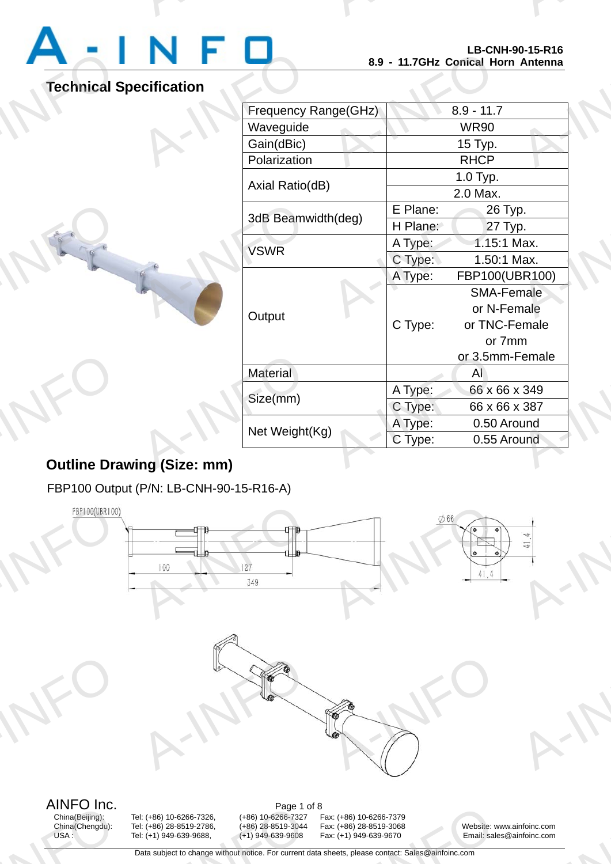

A-INFO

A-INFORMATION CONTINUES.

# **Technical Specification**

|                                   | LD-UNN-90-13-R10<br>8.9 - 11.7GHz Conical Horn Antenna |             |                   |  |
|-----------------------------------|--------------------------------------------------------|-------------|-------------------|--|
| ecification                       |                                                        |             |                   |  |
| <b>Frequency Range(GHz)</b>       |                                                        |             | $8.9 - 11.7$      |  |
| Waveguide                         |                                                        | <b>WR90</b> |                   |  |
| Gain(dBic)                        |                                                        |             | 15 Typ.           |  |
| Polarization                      |                                                        | <b>RHCP</b> |                   |  |
| Axial Ratio(dB)                   |                                                        | 1.0 Typ.    |                   |  |
|                                   |                                                        |             | 2.0 Max.          |  |
| 3dB Beamwidth(deg)<br><b>VSWR</b> |                                                        | E Plane:    | 26 Typ.           |  |
|                                   |                                                        | H Plane:    | 27 Typ.           |  |
|                                   |                                                        | A Type:     | 1.15:1 Max.       |  |
|                                   |                                                        | C Type:     | 1.50:1 Max.       |  |
|                                   |                                                        | A Type:     | FBP100(UBR100)    |  |
|                                   |                                                        | C Type:     | <b>SMA-Female</b> |  |
| Output                            |                                                        |             | or N-Female       |  |
|                                   |                                                        |             | or TNC-Female     |  |
|                                   |                                                        |             | or 7mm            |  |
|                                   |                                                        |             | or 3.5mm-Female   |  |
| Material                          |                                                        |             | AI                |  |
| Size(mm)                          |                                                        | A Type:     | 66 x 66 x 349     |  |
|                                   |                                                        | C Type:     | 66 x 66 x 387     |  |
| Net Weight(Kg)                    |                                                        | A Type:     | 0.50 Around       |  |
|                                   |                                                        | C Type:     | 0.55 Around       |  |

# **Outline Drawing (Size: mm) AND CONSUMERING DEATH**

FBP100 Output (P/N: LB-CNH-90-15-R16-A)

A-INFO



AINFO Inc.<br>China(Beijing): Tel: (+86) 10-6266-7326, (+86) 10-6266-7327 F AIIVFU IIIC.<br>China(Beijing):<br>China(Chengdu):<br>USA :

Page 1 o<br>
1: (+86) 10-6266-7326, (+86) 10-6266-7327<br>
1: (+86) 28-8519-2786, (+86) 28-8519-3044<br>
1: (+1) 949-639-9688, (+1) 949-639-9608<br>
Data subject to change without notice. For current d

China(Beijing): Tel: (+86) 10-6266-7326, (+86) 10-6266-7327 Fax: (+86) 10-6266-7379 12. (+86) 10-6266-7379<br>
12. (+86) 28-8519-3068<br>
12. (+1) 949-639-9670<br>
12. Email: sale<br>
12. Heets, please contact: Sales@ainfoinc.com

China(Chengdu): Tel: (+86) 28-8519-2786, (+86) 28-8519-3044 Fax: (+86) 28-8519-3068 Website: www.ainfoinc.com<br>USA : Tel: (+1) 949-639-9688, (+1) 949-639-9608 Fax: (+1) 949-639-9670 Email: sales@ainfoinc.com Email: sales@ainfoinc.com infoinc.com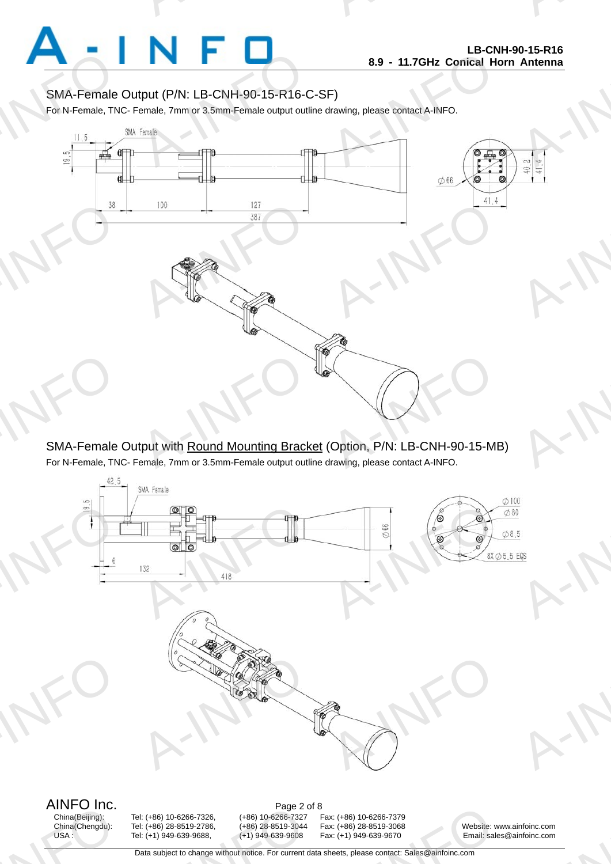

A-INFO

A-INFORMATION CONTINUES.

### SMA-Female Output (P/N: LB-CNH-90-15-R16-C-SF)

For N-Female, TNC- Female, 7mm or 3.5mm-Female output outline drawing, please contact A-INFO.

A-INFORMATION CONTINUES.



SMA-Female Output with Round Mounting Bracket (Option, P/N: LB-CNH-90-15-MB) For N-Female, TNC- Female, 7mm or 3.5mm-Female output outline drawing, please contact A-INFO.



AINFO Inc.<br>China(Beijing): Tel: (+86) 10-6266-7326, (+86) 10-6266-7327 F AIIVFU IIIC.<br>China(Beijing):<br>China(Chengdu):<br>USA :

Page 2 o<br>
1: (+86) 10-6266-7326, (+86) 10-6266-7327<br>
1: (+86) 28-8519-2786, (+86) 28-8519-3044<br>
1: (+1) 949-639-9688, (+1) 949-639-9608<br>
Data subject to change without notice. For current d

China(Beijing): Tel: (+86) 10-6266-7326, (+86) 10-6266-7327 Fax: (+86) 10-6266-7379 China(Chengdu): Tel: (+86) 28-8519-2786, (+86) 28-8519-3044 Fax: (+86) 28-8519-3068 Website: www.ainfoinc.com<br>USA : Tel: (+1) 949-639-9688, (+1) 949-639-9608 Fax: (+1) 949-639-9670 Email: sales@ainfoinc.com 12. (+86) 10-6266-7379<br>
12. (+86) 28-8519-3068<br>
12. (+1) 949-639-9670<br>
12. Email: sale<br>
12. Heets, please contact: Sales@ainfoinc.com

Email: sales@ainfoinc.com infoinc.com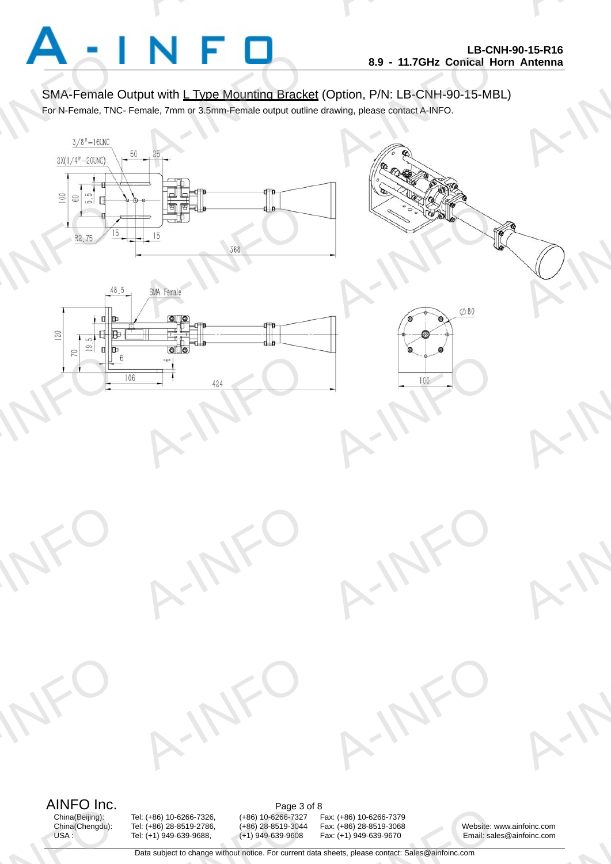

A-INFO

A-INFO

A-INFO

A-INFO

A-INFO

A-INFORMATION CONTINUES.

### SMA-Female Output with L Type Mounting Bracket (Option, P/N: LB-CNH-90-15-MBL)

For N-Female, TNC- Female, 7mm or 3.5mm-Female output outline drawing, please contact A-INFO.

A-INFORMATION CONTINUES.





A-IFO

A-IFO





A-IFO

# AINFO Inc.<br>China(Beijing): Tel: (+86) 10-6266-7326, (+86) 10-6266-7327 F

A-INFO

A-INFO

AIIVFU IIIC.<br>China(Beijing):<br>China(Chengdu):<br>USA :

Page 3 o<br>
1: (+86) 10-6266-7326, (+86) 10-6266-7327<br>
1: (+86) 28-8519-2786, (+86) 28-8519-3044<br>
1: (+1) 949-639-9688, (+1) 949-639-9608<br>
Data subject to change without notice. For current d

China(Beijing): Tel: (+86) 10-6266-7326, (+86) 10-6266-7327 Fax: (+86) 10-6266-7379 12. (+86) 10-6266-7379<br>
12. (+86) 28-8519-3068<br>
12. (+1) 949-639-9670<br>
12. Email: sale<br>
12. Heets, please contact: Sales@ainfoinc.com

China(Chengdu): Tel: (+86) 28-8519-2786, (+86) 28-8519-3044 Fax: (+86) 28-8519-3068 Website: www.ainfoinc.com<br>USA : Tel: (+1) 949-639-9688, (+1) 949-639-9608 Fax: (+1) 949-639-9670 Email: sales@ainfoinc.com Email: sales@ainfoinc.com infoinc.com

Data subject to change without notice. For current data sheets, please contact: Sales@ainfoinc.com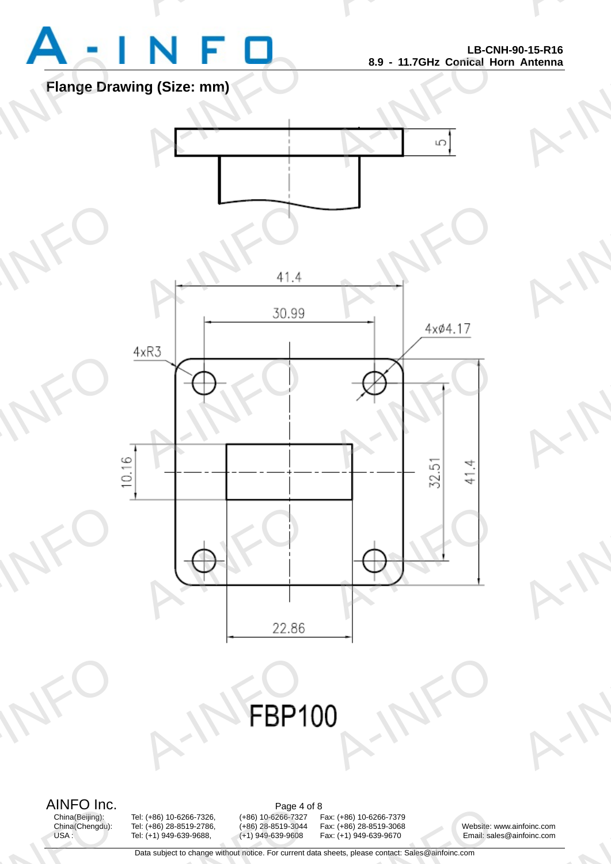

A-INFO

A-INFORMATION CONTINUES.

**Flange Drawing (Size: mm)**



AINFO Inc.<br>China(Beijing): Tel: (+86) 10-6266-7326, (+86) 10-6266-7327 F

AIIVFU IIIC.<br>China(Beijing):<br>China(Chengdu):<br>USA :

Page 4 o<br>
1: (+86) 10-6266-7326, (+86) 10-6266-7327<br>
1: (+86) 28-8519-2786, (+86) 28-8519-3044<br>
1: (+1) 949-639-9688, (+1) 949-639-9608<br>
Data subject to change without notice. For current d

China(Beijing): Tel: (+86) 10-6266-7326, (+86) 10-6266-7327 Fax: (+86) 10-6266-7379 12. (+86) 10-6266-7379<br>
12. (+86) 28-8519-3068<br>
12. (+1) 949-639-9670<br>
12. Email: sale<br>
12. Heets, please contact: Sales@ainfoinc.com

China(Chengdu): Tel: (+86) 28-8519-2786, (+86) 28-8519-3044 Fax: (+86) 28-8519-3068 Website: www.ainfoinc.com<br>USA : Tel: (+1) 949-639-9688, (+1) 949-639-9608 Fax: (+1) 949-639-9670 Email: sales@ainfoinc.com Email: sales@ainfoinc.com infoinc.com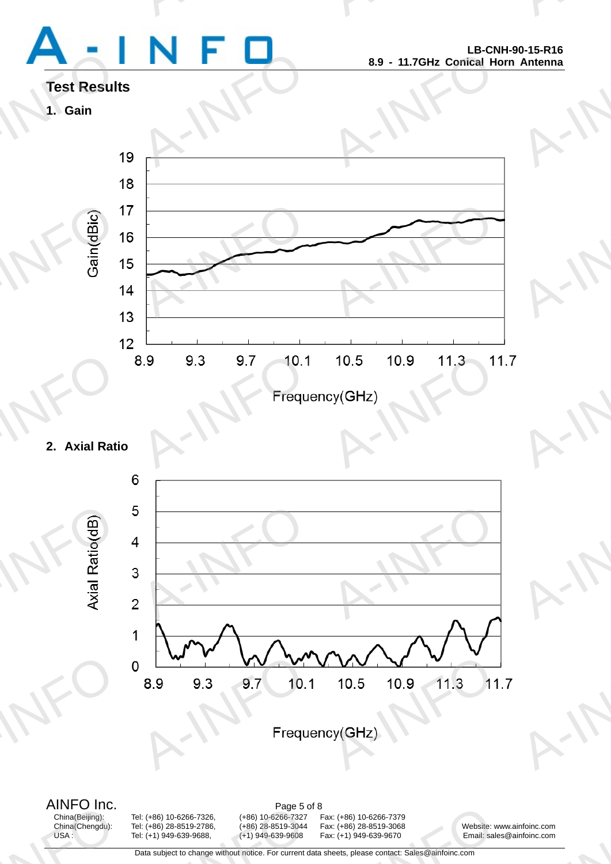# Test Result<br>1. Gain

A-INFORMATION CONTINUES.

A-INFO

A-INFORMATION CONTINUES.

# **Test Results**

**1. Gain** 



## **2. Axial Ratio**



AINFO Inc.<br>China(Beijing): Tel: (+86) 10-6266-7326, (+86) 10-6266-7327 F AIIVFU IIIC.<br>China(Beijing):<br>China(Chengdu):<br>USA :

Page 5 o<br>
1: (+86) 10-6266-7326, (+86) 10-6266-7327<br>
1: (+86) 28-8519-2786, (+86) 28-8519-3044<br>
1: (+1) 949-639-9688, (+1) 949-639-9608<br>
Data subject to change without notice. For current d

China(Beijing): Tel: (+86) 10-6266-7326, (+86) 10-6266-7327 Fax: (+86) 10-6266-7379

China(Chengdu): Tel: (+86) 28-8519-2786, (+86) 28-8519-3044 Fax: (+86) 28-8519-3068 Website: www.ainfoinc.com<br>USA : Tel: (+1) 949-639-9688, (+1) 949-639-9608 Fax: (+1) 949-639-9670 Email: sales@ainfoinc.com 12. (+86) 10-6266-7379<br>
12. (+86) 28-8519-3068<br>
12. (+1) 949-639-9670<br>
12. Email: sale<br>
12. Heets, please contact: Sales@ainfoinc.com

Email: sales@ainfoinc.com infoinc.com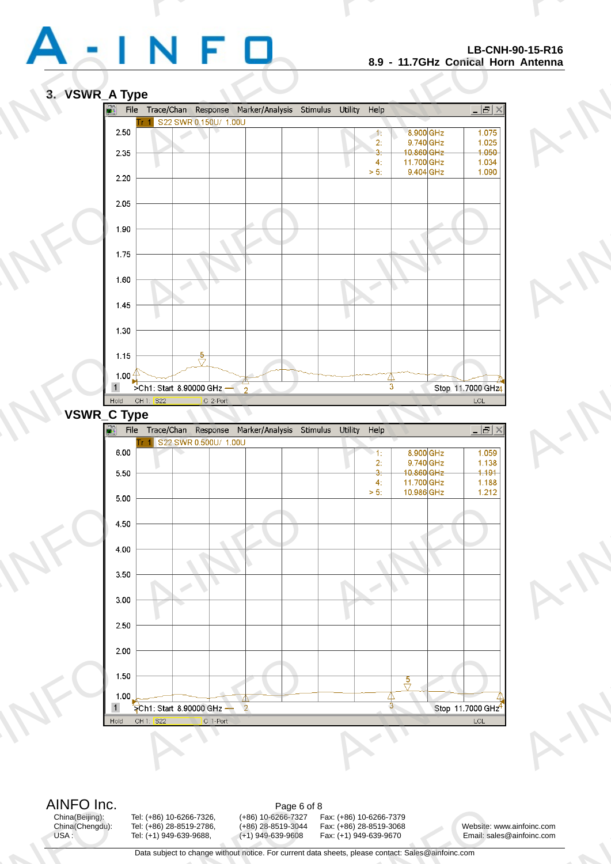

A-INFO

A-INFO

A-INFO

A-INFO

A-INFO

A-INFORMATION CONTINUES.

#### **3. VSWR\_A Type**



AIIVFU IIIC.<br>China(Beijing):<br>China(Chengdu):<br>USA :

Page 6 o<br>
1: (+86) 10-6266-7326, (+86) 10-6266-7327<br>
1: (+86) 28-8519-2786, (+86) 28-8519-3044<br>
1: (+1) 949-639-9688, (+1) 949-639-9608<br>
Data subject to change without notice. For current d

AINFO Inc.<br>China(Beijing): Tel: (+86) 10-6266-7326, (+86) 10-6266-7327 F

China(Beijing): Tel: (+86) 10-6266-7326, (+86) 10-6266-7327 Fax: (+86) 10-6266-7379 12. (+86) 10-6266-7379<br>
12. (+86) 28-8519-3068<br>
12. (+1) 949-639-9670<br>
12. Email: sale<br>
12. Heets, please contact: Sales@ainfoinc.com

China(Chengdu): Tel: (+86) 28-8519-2786, (+86) 28-8519-3044 Fax: (+86) 28-8519-3068 Website: www.ainfoinc.com<br>USA : Tel: (+1) 949-639-9688, (+1) 949-639-9608 Fax: (+1) 949-639-9670 Email: sales@ainfoinc.com Email: sales@ainfoinc.com infoinc.com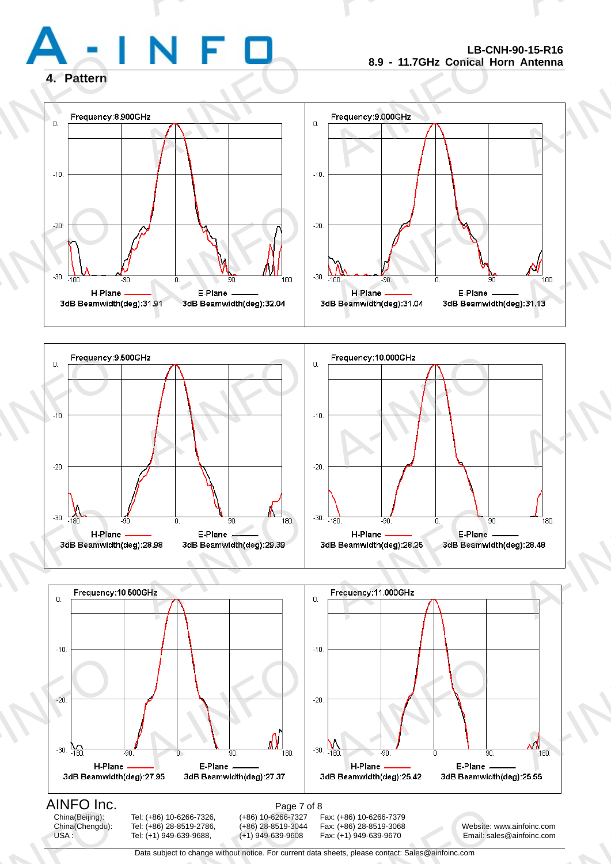

A-INFO

A-INFORMATION CONTINUES.

### **4. Pattern**







Data subject to change without notice. For current data sheets, please contact: Sales@ainfoinc.com